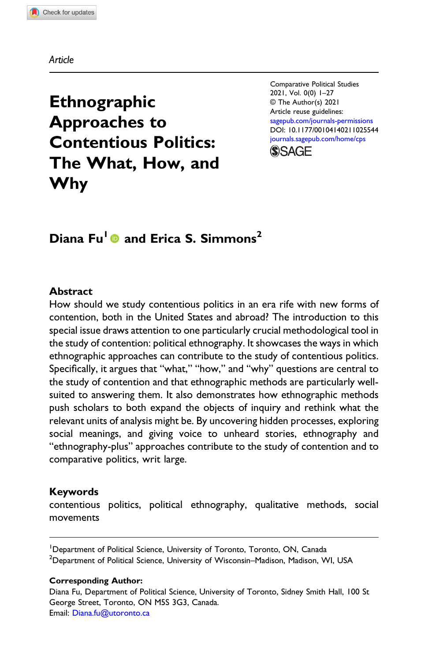Article

# Ethnographic Approaches to Contentious Politics: The What, How, and Why

Comparative Political Studies 2021, Vol. 0(0) 1–27 © The Author(s) 2021 Article reuse guidelines: [sagepub.com/journals-permissions](https://us.sagepub.com/en-us/journals-permissions) DOI: [10.1177/00104140211025544](https://doi.org/10.1177/00104140211025544) [journals.sagepub.com/home/cps](https://journals.sagepub.com/home/cps)



## Diana Fu<sup>1</sup> and Erica S. Simmons<sup>2</sup>

#### Abstract

How should we study contentious politics in an era rife with new forms of contention, both in the United States and abroad? The introduction to this special issue draws attention to one particularly crucial methodological tool in the study of contention: political ethnography. It showcases the ways in which ethnographic approaches can contribute to the study of contentious politics. Specifically, it argues that "what," "how," and "why" questions are central to the study of contention and that ethnographic methods are particularly wellsuited to answering them. It also demonstrates how ethnographic methods push scholars to both expand the objects of inquiry and rethink what the relevant units of analysis might be. By uncovering hidden processes, exploring social meanings, and giving voice to unheard stories, ethnography and "ethnography-plus" approaches contribute to the study of contention and to comparative politics, writ large.

### Keywords

contentious politics, political ethnography, qualitative methods, social movements

<sup>1</sup>Department of Political Science, University of Toronto, Toronto, ON, Canada  $^2$ Department of Political Science, University of Wisconsin–Madison, Madison, WI, USA

#### Corresponding Author:

Diana Fu, Department of Political Science, University of Toronto, Sidney Smith Hall, 100 St George Street, Toronto, ON M5S 3G3, Canada. Email: [Diana.fu@utoronto.ca](mailto:Diana.fu@utoronto.ca)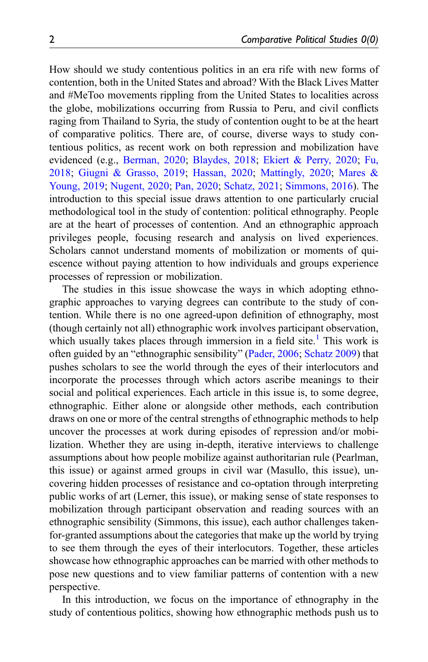How should we study contentious politics in an era rife with new forms of contention, both in the United States and abroad? With the Black Lives Matter and #MeToo movements rippling from the United States to localities across the globe, mobilizations occurring from Russia to Peru, and civil conflicts raging from Thailand to Syria, the study of contention ought to be at the heart of comparative politics. There are, of course, diverse ways to study contentious politics, as recent work on both repression and mobilization have evidenced (e.g., [Berman, 2020;](#page-21-0) [Blaydes, 2018;](#page-21-1) [Ekiert & Perry, 2020;](#page-22-0) [Fu,](#page-22-1) [2018;](#page-22-1) [Giugni & Grasso, 2019](#page-22-2); [Hassan, 2020;](#page-22-3) [Mattingly, 2020](#page-23-0); [Mares &](#page-23-1) [Young, 2019;](#page-23-1) [Nugent, 2020;](#page-23-2) [Pan, 2020;](#page-24-0) [Schatz, 2021;](#page-24-1) [Simmons, 2016\)](#page-24-2). The introduction to this special issue draws attention to one particularly crucial methodological tool in the study of contention: political ethnography. People are at the heart of processes of contention. And an ethnographic approach privileges people, focusing research and analysis on lived experiences. Scholars cannot understand moments of mobilization or moments of quiescence without paying attention to how individuals and groups experience processes of repression or mobilization.

The studies in this issue showcase the ways in which adopting ethnographic approaches to varying degrees can contribute to the study of contention. While there is no one agreed-upon definition of ethnography, most (though certainly not all) ethnographic work involves participant observation, which usually takes places through immersion in a field site.<sup>[1](#page-20-0)</sup> This work is often guided by an "ethnographic sensibility" ([Pader, 2006;](#page-23-3) [Schatz 2009](#page-24-3)) that pushes scholars to see the world through the eyes of their interlocutors and incorporate the processes through which actors ascribe meanings to their social and political experiences. Each article in this issue is, to some degree, ethnographic. Either alone or alongside other methods, each contribution draws on one or more of the central strengths of ethnographic methods to help uncover the processes at work during episodes of repression and/or mobilization. Whether they are using in-depth, iterative interviews to challenge assumptions about how people mobilize against authoritarian rule (Pearlman, this issue) or against armed groups in civil war (Masullo, this issue), uncovering hidden processes of resistance and co-optation through interpreting public works of art (Lerner, this issue), or making sense of state responses to mobilization through participant observation and reading sources with an ethnographic sensibility (Simmons, this issue), each author challenges takenfor-granted assumptions about the categories that make up the world by trying to see them through the eyes of their interlocutors. Together, these articles showcase how ethnographic approaches can be married with other methods to pose new questions and to view familiar patterns of contention with a new perspective.

In this introduction, we focus on the importance of ethnography in the study of contentious politics, showing how ethnographic methods push us to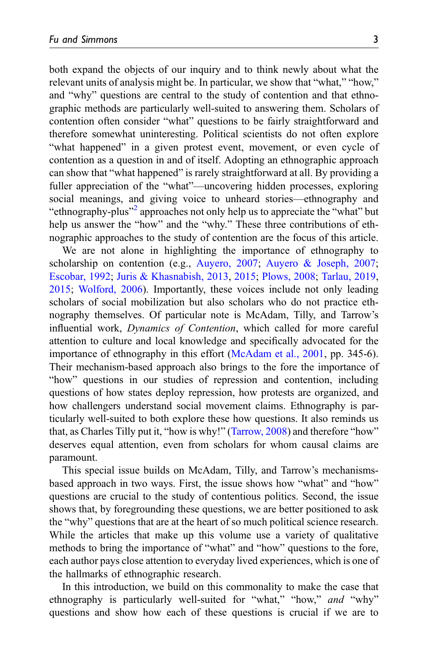both expand the objects of our inquiry and to think newly about what the relevant units of analysis might be. In particular, we show that "what," "how," and "why" questions are central to the study of contention and that ethnographic methods are particularly well-suited to answering them. Scholars of contention often consider "what" questions to be fairly straightforward and therefore somewhat uninteresting. Political scientists do not often explore "what happened" in a given protest event, movement, or even cycle of contention as a question in and of itself. Adopting an ethnographic approach can show that "what happened" is rarely straightforward at all. By providing a fuller appreciation of the "what"—uncovering hidden processes, exploring social meanings, and giving voice to unheard stories—ethnography and "ethnography-plus"<sup>[2](#page-21-2)</sup> approaches not only help us to appreciate the "what" but help us answer the "how" and the "why." These three contributions of ethnographic approaches to the study of contention are the focus of this article.

We are not alone in highlighting the importance of ethnography to scholarship on contention (e.g., [Auyero, 2007;](#page-21-3) [Auyero & Joseph, 2007;](#page-21-4) [Escobar, 1992](#page-22-4); [Juris & Khasnabish, 2013,](#page-23-4) [2015;](#page-23-5) [Plows, 2008;](#page-24-4) [Tarlau, 2019,](#page-25-0) [2015;](#page-25-1) [Wolford, 2006](#page-25-2)). Importantly, these voices include not only leading scholars of social mobilization but also scholars who do not practice ethnography themselves. Of particular note is McAdam, Tilly, and Tarrow's influential work, Dynamics of Contention, which called for more careful attention to culture and local knowledge and specifically advocated for the importance of ethnography in this effort ([McAdam et al., 2001](#page-23-6), pp. 345-6). Their mechanism-based approach also brings to the fore the importance of "how" questions in our studies of repression and contention, including questions of how states deploy repression, how protests are organized, and how challengers understand social movement claims. Ethnography is particularly well-suited to both explore these how questions. It also reminds us that, as Charles Tilly put it, "how is why!" ([Tarrow, 2008\)](#page-25-3) and therefore "how" deserves equal attention, even from scholars for whom causal claims are paramount.

This special issue builds on McAdam, Tilly, and Tarrow's mechanismsbased approach in two ways. First, the issue shows how "what" and "how" questions are crucial to the study of contentious politics. Second, the issue shows that, by foregrounding these questions, we are better positioned to ask the "why" questions that are at the heart of so much political science research. While the articles that make up this volume use a variety of qualitative methods to bring the importance of "what" and "how" questions to the fore, each author pays close attention to everyday lived experiences, which is one of the hallmarks of ethnographic research.

In this introduction, we build on this commonality to make the case that ethnography is particularly well-suited for "what," "how," and "why" questions and show how each of these questions is crucial if we are to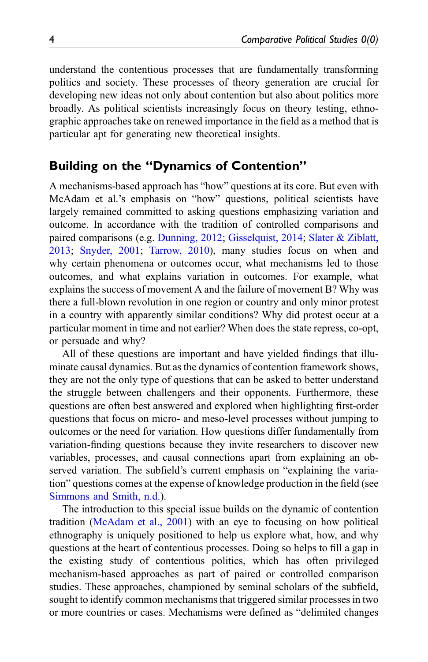understand the contentious processes that are fundamentally transforming politics and society. These processes of theory generation are crucial for developing new ideas not only about contention but also about politics more broadly. As political scientists increasingly focus on theory testing, ethnographic approaches take on renewed importance in the field as a method that is particular apt for generating new theoretical insights.

## Building on the "Dynamics of Contention"

A mechanisms-based approach has "how" questions at its core. But even with McAdam et al.'s emphasis on "how" questions, political scientists have largely remained committed to asking questions emphasizing variation and outcome. In accordance with the tradition of controlled comparisons and paired comparisons (e.g. [Dunning, 2012;](#page-22-5) [Gisselquist, 2014](#page-22-6); [Slater & Ziblatt,](#page-24-5) [2013;](#page-24-5) [Snyder, 2001;](#page-24-6) [Tarrow, 2010](#page-25-4)), many studies focus on when and why certain phenomena or outcomes occur, what mechanisms led to those outcomes, and what explains variation in outcomes. For example, what explains the success of movement A and the failure of movement B? Why was there a full-blown revolution in one region or country and only minor protest in a country with apparently similar conditions? Why did protest occur at a particular moment in time and not earlier? When does the state repress, co-opt, or persuade and why?

All of these questions are important and have yielded findings that illuminate causal dynamics. But as the dynamics of contention framework shows, they are not the only type of questions that can be asked to better understand the struggle between challengers and their opponents. Furthermore, these questions are often best answered and explored when highlighting first-order questions that focus on micro- and meso-level processes without jumping to outcomes or the need for variation. How questions differ fundamentally from variation-finding questions because they invite researchers to discover new variables, processes, and causal connections apart from explaining an observed variation. The subfield's current emphasis on "explaining the variation" questions comes at the expense of knowledge production in the field (see [Simmons and Smith, n.d.](#page-24-7)).

The introduction to this special issue builds on the dynamic of contention tradition [\(McAdam et al., 2001](#page-23-6)) with an eye to focusing on how political ethnography is uniquely positioned to help us explore what, how, and why questions at the heart of contentious processes. Doing so helps to fill a gap in the existing study of contentious politics, which has often privileged mechanism-based approaches as part of paired or controlled comparison studies. These approaches, championed by seminal scholars of the subfield, sought to identify common mechanisms that triggered similar processes in two or more countries or cases. Mechanisms were defined as "delimited changes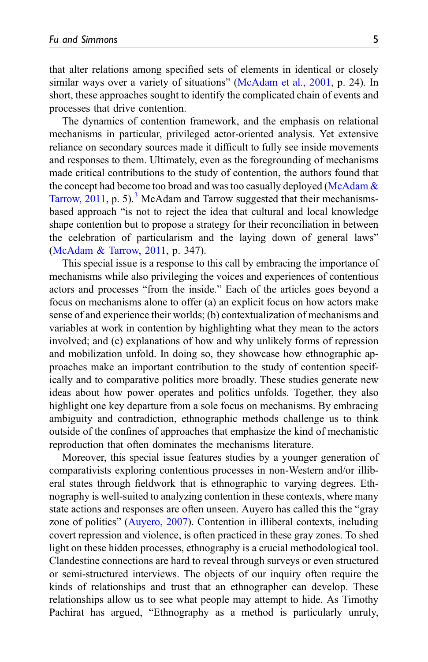that alter relations among specified sets of elements in identical or closely similar ways over a variety of situations" ([McAdam et al., 2001](#page-23-6), p. 24). In short, these approaches sought to identify the complicated chain of events and processes that drive contention.

The dynamics of contention framework, and the emphasis on relational mechanisms in particular, privileged actor-oriented analysis. Yet extensive reliance on secondary sources made it difficult to fully see inside movements and responses to them. Ultimately, even as the foregrounding of mechanisms made critical contributions to the study of contention, the authors found that the concept had become too broad and was too casually deployed [\(McAdam &](#page-23-7) [Tarrow, 2011](#page-23-7), p. 5).<sup>[3](#page-21-5)</sup> McAdam and Tarrow suggested that their mechanismsbased approach "is not to reject the idea that cultural and local knowledge shape contention but to propose a strategy for their reconciliation in between the celebration of particularism and the laying down of general laws" ([McAdam & Tarrow, 2011,](#page-23-7) p. 347).

This special issue is a response to this call by embracing the importance of mechanisms while also privileging the voices and experiences of contentious actors and processes "from the inside." Each of the articles goes beyond a focus on mechanisms alone to offer (a) an explicit focus on how actors make sense of and experience their worlds; (b) contextualization of mechanisms and variables at work in contention by highlighting what they mean to the actors involved; and (c) explanations of how and why unlikely forms of repression and mobilization unfold. In doing so, they showcase how ethnographic approaches make an important contribution to the study of contention specifically and to comparative politics more broadly. These studies generate new ideas about how power operates and politics unfolds. Together, they also highlight one key departure from a sole focus on mechanisms. By embracing ambiguity and contradiction, ethnographic methods challenge us to think outside of the confines of approaches that emphasize the kind of mechanistic reproduction that often dominates the mechanisms literature.

Moreover, this special issue features studies by a younger generation of comparativists exploring contentious processes in non-Western and/or illiberal states through fieldwork that is ethnographic to varying degrees. Ethnography is well-suited to analyzing contention in these contexts, where many state actions and responses are often unseen. Auyero has called this the "gray zone of politics" ([Auyero, 2007\)](#page-21-3). Contention in illiberal contexts, including covert repression and violence, is often practiced in these gray zones. To shed light on these hidden processes, ethnography is a crucial methodological tool. Clandestine connections are hard to reveal through surveys or even structured or semi-structured interviews. The objects of our inquiry often require the kinds of relationships and trust that an ethnographer can develop. These relationships allow us to see what people may attempt to hide. As Timothy Pachirat has argued, "Ethnography as a method is particularly unruly,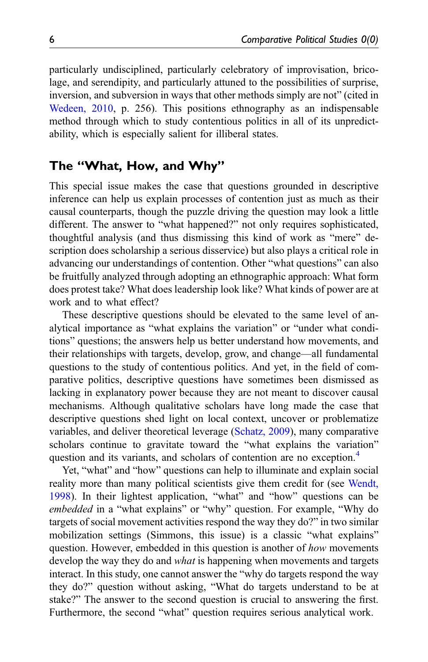particularly undisciplined, particularly celebratory of improvisation, bricolage, and serendipity, and particularly attuned to the possibilities of surprise, inversion, and subversion in ways that other methods simply are not" (cited in [Wedeen, 2010,](#page-25-5) p. 256). This positions ethnography as an indispensable method through which to study contentious politics in all of its unpredictability, which is especially salient for illiberal states.

## The "What, How, and Why"

This special issue makes the case that questions grounded in descriptive inference can help us explain processes of contention just as much as their causal counterparts, though the puzzle driving the question may look a little different. The answer to "what happened?" not only requires sophisticated, thoughtful analysis (and thus dismissing this kind of work as "mere" description does scholarship a serious disservice) but also plays a critical role in advancing our understandings of contention. Other "what questions" can also be fruitfully analyzed through adopting an ethnographic approach: What form does protest take? What does leadership look like? What kinds of power are at work and to what effect?

These descriptive questions should be elevated to the same level of analytical importance as "what explains the variation" or "under what conditions" questions; the answers help us better understand how movements, and their relationships with targets, develop, grow, and change—all fundamental questions to the study of contentious politics. And yet, in the field of comparative politics, descriptive questions have sometimes been dismissed as lacking in explanatory power because they are not meant to discover causal mechanisms. Although qualitative scholars have long made the case that descriptive questions shed light on local context, uncover or problematize variables, and deliver theoretical leverage ([Schatz, 2009](#page-24-3)), many comparative scholars continue to gravitate toward the "what explains the variation" question and its variants, and scholars of contention are no exception.<sup>[4](#page-21-6)</sup>

Yet, "what" and "how" questions can help to illuminate and explain social reality more than many political scientists give them credit for (see [Wendt,](#page-25-6) [1998\)](#page-25-6). In their lightest application, "what" and "how" questions can be embedded in a "what explains" or "why" question. For example, "Why do targets of social movement activities respond the way they do?" in two similar mobilization settings (Simmons, this issue) is a classic "what explains" question. However, embedded in this question is another of how movements develop the way they do and *what* is happening when movements and targets interact. In this study, one cannot answer the "why do targets respond the way they do?" question without asking, "What do targets understand to be at stake?" The answer to the second question is crucial to answering the first. Furthermore, the second "what" question requires serious analytical work.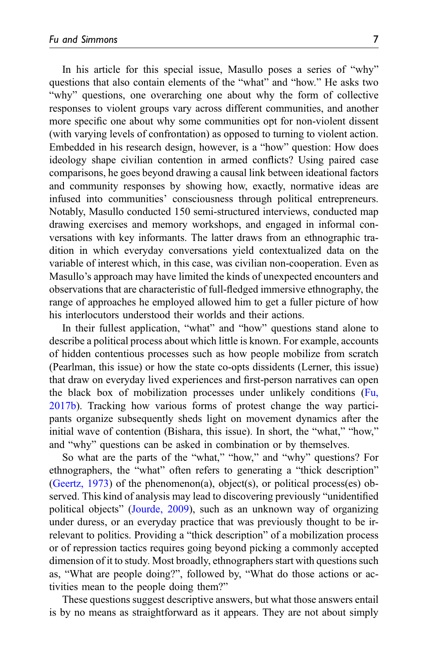In his article for this special issue, Masullo poses a series of "why" questions that also contain elements of the "what" and "how." He asks two "why" questions, one overarching one about why the form of collective responses to violent groups vary across different communities, and another more specific one about why some communities opt for non-violent dissent (with varying levels of confrontation) as opposed to turning to violent action. Embedded in his research design, however, is a "how" question: How does ideology shape civilian contention in armed conflicts? Using paired case comparisons, he goes beyond drawing a causal link between ideational factors and community responses by showing how, exactly, normative ideas are infused into communities' consciousness through political entrepreneurs. Notably, Masullo conducted 150 semi-structured interviews, conducted map drawing exercises and memory workshops, and engaged in informal conversations with key informants. The latter draws from an ethnographic tradition in which everyday conversations yield contextualized data on the variable of interest which, in this case, was civilian non-cooperation. Even as Masullo's approach may have limited the kinds of unexpected encounters and observations that are characteristic of full-fledged immersive ethnography, the range of approaches he employed allowed him to get a fuller picture of how his interlocutors understood their worlds and their actions.

In their fullest application, "what" and "how" questions stand alone to describe a political process about which little is known. For example, accounts of hidden contentious processes such as how people mobilize from scratch (Pearlman, this issue) or how the state co-opts dissidents (Lerner, this issue) that draw on everyday lived experiences and first-person narratives can open the black box of mobilization processes under unlikely conditions [\(Fu,](#page-22-7) [2017b\)](#page-22-7). Tracking how various forms of protest change the way participants organize subsequently sheds light on movement dynamics after the initial wave of contention (Bishara, this issue). In short, the "what," "how," and "why" questions can be asked in combination or by themselves.

So what are the parts of the "what," "how," and "why" questions? For ethnographers, the "what" often refers to generating a "thick description" ([Geertz, 1973\)](#page-22-8) of the phenomenon(a), object(s), or political process(es) observed. This kind of analysis may lead to discovering previously "unidentified political objects" ([Jourde, 2009](#page-23-8)), such as an unknown way of organizing under duress, or an everyday practice that was previously thought to be irrelevant to politics. Providing a "thick description" of a mobilization process or of repression tactics requires going beyond picking a commonly accepted dimension of it to study. Most broadly, ethnographers start with questions such as, "What are people doing?", followed by, "What do those actions or activities mean to the people doing them?"

These questions suggest descriptive answers, but what those answers entail is by no means as straightforward as it appears. They are not about simply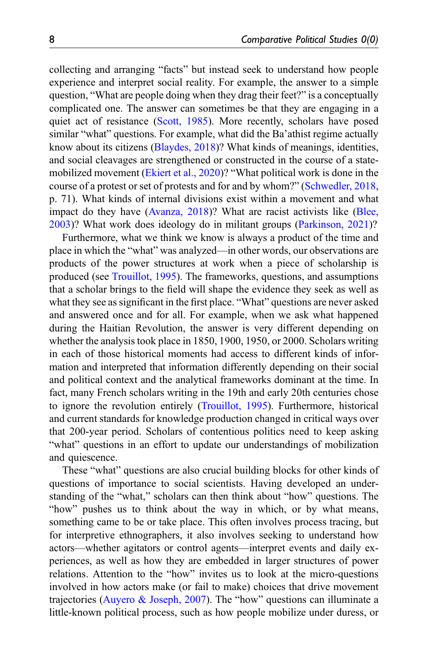collecting and arranging "facts" but instead seek to understand how people experience and interpret social reality. For example, the answer to a simple question, "What are people doing when they drag their feet?" is a conceptually complicated one. The answer can sometimes be that they are engaging in a quiet act of resistance [\(Scott, 1985\)](#page-24-8). More recently, scholars have posed similar "what" questions. For example, what did the Ba'athist regime actually know about its citizens ([Blaydes, 2018\)](#page-21-1)? What kinds of meanings, identities, and social cleavages are strengthened or constructed in the course of a statemobilized movement [\(Ekiert et al., 2020\)](#page-22-9)? "What political work is done in the course of a protest or set of protests and for and by whom?" [\(Schwedler, 2018,](#page-24-9) p. 71). What kinds of internal divisions exist within a movement and what impact do they have [\(Avanza, 2018](#page-21-7))? What are racist activists like ([Blee,](#page-21-8) [2003\)](#page-21-8)? What work does ideology do in militant groups [\(Parkinson, 2021\)](#page-24-10)?

Furthermore, what we think we know is always a product of the time and place in which the "what" was analyzed—in other words, our observations are products of the power structures at work when a piece of scholarship is produced (see [Trouillot, 1995](#page-25-7)). The frameworks, questions, and assumptions that a scholar brings to the field will shape the evidence they seek as well as what they see as significant in the first place. "What" questions are never asked and answered once and for all. For example, when we ask what happened during the Haitian Revolution, the answer is very different depending on whether the analysis took place in 1850, 1900, 1950, or 2000. Scholars writing in each of those historical moments had access to different kinds of information and interpreted that information differently depending on their social and political context and the analytical frameworks dominant at the time. In fact, many French scholars writing in the 19th and early 20th centuries chose to ignore the revolution entirely [\(Trouillot, 1995\)](#page-25-7). Furthermore, historical and current standards for knowledge production changed in critical ways over that 200-year period. Scholars of contentious politics need to keep asking "what" questions in an effort to update our understandings of mobilization and quiescence.

These "what" questions are also crucial building blocks for other kinds of questions of importance to social scientists. Having developed an understanding of the "what," scholars can then think about "how" questions. The "how" pushes us to think about the way in which, or by what means, something came to be or take place. This often involves process tracing, but for interpretive ethnographers, it also involves seeking to understand how actors—whether agitators or control agents—interpret events and daily experiences, as well as how they are embedded in larger structures of power relations. Attention to the "how" invites us to look at the micro-questions involved in how actors make (or fail to make) choices that drive movement trajectories [\(Auyero & Joseph, 2007\)](#page-21-4). The "how" questions can illuminate a little-known political process, such as how people mobilize under duress, or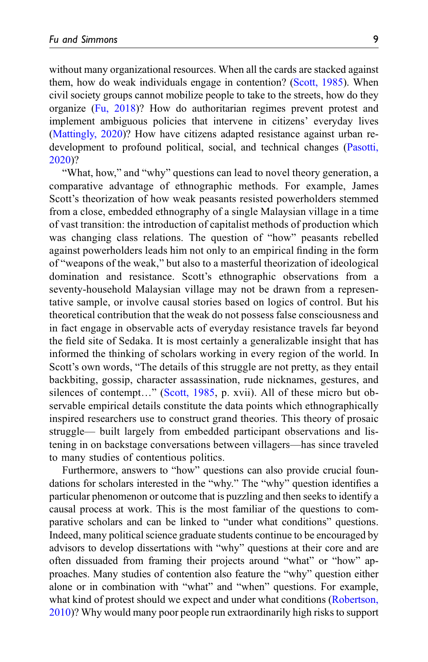without many organizational resources. When all the cards are stacked against them, how do weak individuals engage in contention? ([Scott, 1985\)](#page-24-8). When civil society groups cannot mobilize people to take to the streets, how do they organize ([Fu, 2018\)](#page-22-1)? How do authoritarian regimes prevent protest and implement ambiguous policies that intervene in citizens' everyday lives ([Mattingly, 2020](#page-23-0))? How have citizens adapted resistance against urban redevelopment to profound political, social, and technical changes [\(Pasotti,](#page-24-11) [2020\)](#page-24-11)?

"What, how," and "why" questions can lead to novel theory generation, a comparative advantage of ethnographic methods. For example, James Scott's theorization of how weak peasants resisted powerholders stemmed from a close, embedded ethnography of a single Malaysian village in a time of vast transition: the introduction of capitalist methods of production which was changing class relations. The question of "how" peasants rebelled against powerholders leads him not only to an empirical finding in the form of "weapons of the weak," but also to a masterful theorization of ideological domination and resistance. Scott's ethnographic observations from a seventy-household Malaysian village may not be drawn from a representative sample, or involve causal stories based on logics of control. But his theoretical contribution that the weak do not possess false consciousness and in fact engage in observable acts of everyday resistance travels far beyond the field site of Sedaka. It is most certainly a generalizable insight that has informed the thinking of scholars working in every region of the world. In Scott's own words, "The details of this struggle are not pretty, as they entail backbiting, gossip, character assassination, rude nicknames, gestures, and silences of contempt..." ([Scott, 1985,](#page-24-8) p. xvii). All of these micro but observable empirical details constitute the data points which ethnographically inspired researchers use to construct grand theories. This theory of prosaic struggle— built largely from embedded participant observations and listening in on backstage conversations between villagers—has since traveled to many studies of contentious politics.

Furthermore, answers to "how" questions can also provide crucial foundations for scholars interested in the "why." The "why" question identifies a particular phenomenon or outcome that is puzzling and then seeks to identify a causal process at work. This is the most familiar of the questions to comparative scholars and can be linked to "under what conditions" questions. Indeed, many political science graduate students continue to be encouraged by advisors to develop dissertations with "why" questions at their core and are often dissuaded from framing their projects around "what" or "how" approaches. Many studies of contention also feature the "why" question either alone or in combination with "what" and "when" questions. For example, what kind of protest should we expect and under what conditions [\(Robertson,](#page-24-12) [2010\)](#page-24-12)? Why would many poor people run extraordinarily high risks to support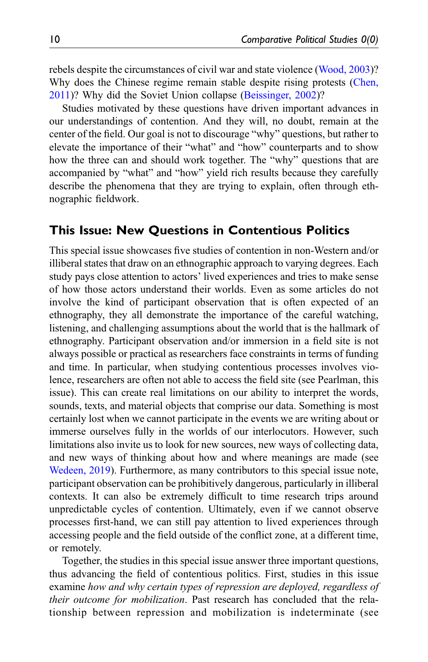rebels despite the circumstances of civil war and state violence ([Wood, 2003\)](#page-25-8)? Why does the Chinese regime remain stable despite rising protests ([Chen,](#page-22-10) [2011](#page-22-10))? Why did the Soviet Union collapse ([Beissinger, 2002\)](#page-21-9)?

Studies motivated by these questions have driven important advances in our understandings of contention. And they will, no doubt, remain at the center of the field. Our goal is not to discourage "why" questions, but rather to elevate the importance of their "what" and "how" counterparts and to show how the three can and should work together. The "why" questions that are accompanied by "what" and "how" yield rich results because they carefully describe the phenomena that they are trying to explain, often through ethnographic fieldwork.

## This Issue: New Questions in Contentious Politics

This special issue showcases five studies of contention in non-Western and/or illiberal states that draw on an ethnographic approach to varying degrees. Each study pays close attention to actors' lived experiences and tries to make sense of how those actors understand their worlds. Even as some articles do not involve the kind of participant observation that is often expected of an ethnography, they all demonstrate the importance of the careful watching, listening, and challenging assumptions about the world that is the hallmark of ethnography. Participant observation and/or immersion in a field site is not always possible or practical as researchers face constraints in terms of funding and time. In particular, when studying contentious processes involves violence, researchers are often not able to access the field site (see Pearlman, this issue). This can create real limitations on our ability to interpret the words, sounds, texts, and material objects that comprise our data. Something is most certainly lost when we cannot participate in the events we are writing about or immerse ourselves fully in the worlds of our interlocutors. However, such limitations also invite us to look for new sources, new ways of collecting data, and new ways of thinking about how and where meanings are made (see [Wedeen, 2019](#page-25-9)). Furthermore, as many contributors to this special issue note, participant observation can be prohibitively dangerous, particularly in illiberal contexts. It can also be extremely difficult to time research trips around unpredictable cycles of contention. Ultimately, even if we cannot observe processes first-hand, we can still pay attention to lived experiences through accessing people and the field outside of the conflict zone, at a different time, or remotely.

Together, the studies in this special issue answer three important questions, thus advancing the field of contentious politics. First, studies in this issue examine how and why certain types of repression are deployed, regardless of their outcome for mobilization. Past research has concluded that the relationship between repression and mobilization is indeterminate (see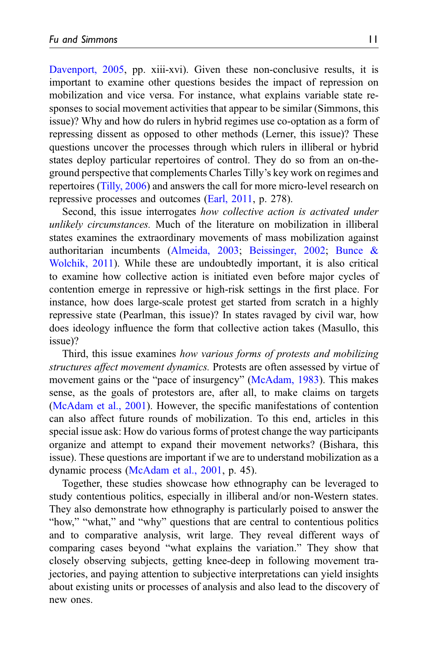[Davenport, 2005,](#page-22-11) pp. xiii-xvi). Given these non-conclusive results, it is important to examine other questions besides the impact of repression on mobilization and vice versa. For instance, what explains variable state responses to social movement activities that appear to be similar (Simmons, this issue)? Why and how do rulers in hybrid regimes use co-optation as a form of repressing dissent as opposed to other methods (Lerner, this issue)? These questions uncover the processes through which rulers in illiberal or hybrid states deploy particular repertoires of control. They do so from an on-theground perspective that complements Charles Tilly's key work on regimes and repertoires ([Tilly, 2006\)](#page-25-10) and answers the call for more micro-level research on repressive processes and outcomes [\(Earl, 2011,](#page-22-12) p. 278).

Second, this issue interrogates how collective action is activated under unlikely circumstances. Much of the literature on mobilization in illiberal states examines the extraordinary movements of mass mobilization against authoritarian incumbents [\(Almeida, 2003](#page-21-10); [Beissinger, 2002](#page-21-9); [Bunce &](#page-22-13) [Wolchik, 2011](#page-22-13)). While these are undoubtedly important, it is also critical to examine how collective action is initiated even before major cycles of contention emerge in repressive or high-risk settings in the first place. For instance, how does large-scale protest get started from scratch in a highly repressive state (Pearlman, this issue)? In states ravaged by civil war, how does ideology influence the form that collective action takes (Masullo, this issue)?

Third, this issue examines how various forms of protests and mobilizing structures affect movement dynamics. Protests are often assessed by virtue of movement gains or the "pace of insurgency" [\(McAdam, 1983](#page-23-9)). This makes sense, as the goals of protestors are, after all, to make claims on targets ([McAdam et al., 2001\)](#page-23-6). However, the specific manifestations of contention can also affect future rounds of mobilization. To this end, articles in this special issue ask: How do various forms of protest change the way participants organize and attempt to expand their movement networks? (Bishara, this issue). These questions are important if we are to understand mobilization as a dynamic process [\(McAdam et al., 2001,](#page-23-6) p. 45).

Together, these studies showcase how ethnography can be leveraged to study contentious politics, especially in illiberal and/or non-Western states. They also demonstrate how ethnography is particularly poised to answer the "how," "what," and "why" questions that are central to contentious politics and to comparative analysis, writ large. They reveal different ways of comparing cases beyond "what explains the variation." They show that closely observing subjects, getting knee-deep in following movement trajectories, and paying attention to subjective interpretations can yield insights about existing units or processes of analysis and also lead to the discovery of new ones.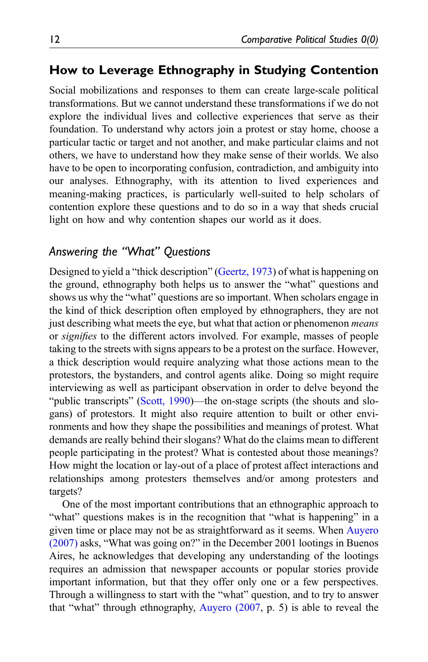## How to Leverage Ethnography in Studying Contention

Social mobilizations and responses to them can create large-scale political transformations. But we cannot understand these transformations if we do not explore the individual lives and collective experiences that serve as their foundation. To understand why actors join a protest or stay home, choose a particular tactic or target and not another, and make particular claims and not others, we have to understand how they make sense of their worlds. We also have to be open to incorporating confusion, contradiction, and ambiguity into our analyses. Ethnography, with its attention to lived experiences and meaning-making practices, is particularly well-suited to help scholars of contention explore these questions and to do so in a way that sheds crucial light on how and why contention shapes our world as it does.

## Answering the "What" Questions

Designed to yield a "thick description" ([Geertz, 1973](#page-22-8)) of what is happening on the ground, ethnography both helps us to answer the "what" questions and shows us why the "what" questions are so important. When scholars engage in the kind of thick description often employed by ethnographers, they are not just describing what meets the eye, but what that action or phenomenon *means* or signifies to the different actors involved. For example, masses of people taking to the streets with signs appears to be a protest on the surface. However, a thick description would require analyzing what those actions mean to the protestors, the bystanders, and control agents alike. Doing so might require interviewing as well as participant observation in order to delve beyond the "public transcripts" ([Scott, 1990](#page-24-13))—the on-stage scripts (the shouts and slogans) of protestors. It might also require attention to built or other environments and how they shape the possibilities and meanings of protest. What demands are really behind their slogans? What do the claims mean to different people participating in the protest? What is contested about those meanings? How might the location or lay-out of a place of protest affect interactions and relationships among protesters themselves and/or among protesters and targets?

One of the most important contributions that an ethnographic approach to "what" questions makes is in the recognition that "what is happening" in a given time or place may not be as straightforward as it seems. When [Auyero](#page-21-3) [\(2007\)](#page-21-3) asks, "What was going on?" in the December 2001 lootings in Buenos Aires, he acknowledges that developing any understanding of the lootings requires an admission that newspaper accounts or popular stories provide important information, but that they offer only one or a few perspectives. Through a willingness to start with the "what" question, and to try to answer that "what" through ethnography, [Auyero \(2007](#page-21-3), p. 5) is able to reveal the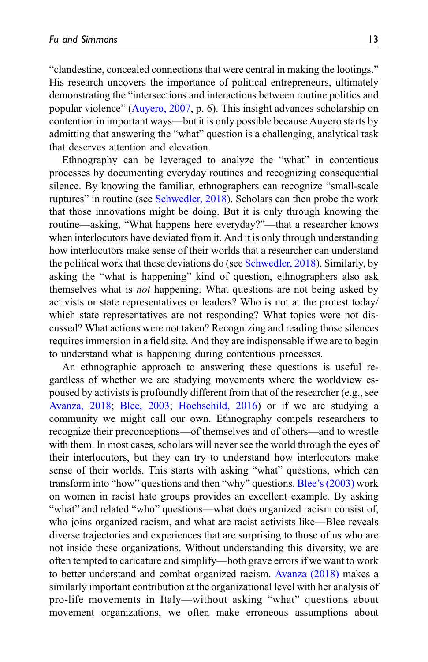"clandestine, concealed connections that were central in making the lootings." His research uncovers the importance of political entrepreneurs, ultimately demonstrating the "intersections and interactions between routine politics and popular violence" ([Auyero, 2007,](#page-21-3) p. 6). This insight advances scholarship on contention in important ways—but it is only possible because Auyero starts by admitting that answering the "what" question is a challenging, analytical task that deserves attention and elevation.

Ethnography can be leveraged to analyze the "what" in contentious processes by documenting everyday routines and recognizing consequential silence. By knowing the familiar, ethnographers can recognize "small-scale ruptures" in routine (see [Schwedler, 2018\)](#page-24-9). Scholars can then probe the work that those innovations might be doing. But it is only through knowing the routine—asking, "What happens here everyday?"—that a researcher knows when interlocutors have deviated from it. And it is only through understanding how interlocutors make sense of their worlds that a researcher can understand the political work that these deviations do (see [Schwedler, 2018](#page-24-9)). Similarly, by asking the "what is happening" kind of question, ethnographers also ask themselves what is not happening. What questions are not being asked by activists or state representatives or leaders? Who is not at the protest today/ which state representatives are not responding? What topics were not discussed? What actions were not taken? Recognizing and reading those silences requires immersion in a field site. And they are indispensable if we are to begin to understand what is happening during contentious processes.

An ethnographic approach to answering these questions is useful regardless of whether we are studying movements where the worldview espoused by activists is profoundly different from that of the researcher (e.g., see [Avanza, 2018](#page-21-7); [Blee, 2003](#page-21-8); [Hochschild, 2016](#page-23-10)) or if we are studying a community we might call our own. Ethnography compels researchers to recognize their preconceptions—of themselves and of others—and to wrestle with them. In most cases, scholars will never see the world through the eyes of their interlocutors, but they can try to understand how interlocutors make sense of their worlds. This starts with asking "what" questions, which can transform into "how" questions and then "why" questions. Blee'[s \(2003\)](#page-21-8) work on women in racist hate groups provides an excellent example. By asking "what" and related "who" questions—what does organized racism consist of, who joins organized racism, and what are racist activists like—Blee reveals diverse trajectories and experiences that are surprising to those of us who are not inside these organizations. Without understanding this diversity, we are often tempted to caricature and simplify—both grave errors if we want to work to better understand and combat organized racism. [Avanza \(2018\)](#page-21-7) makes a similarly important contribution at the organizational level with her analysis of pro-life movements in Italy—without asking "what" questions about movement organizations, we often make erroneous assumptions about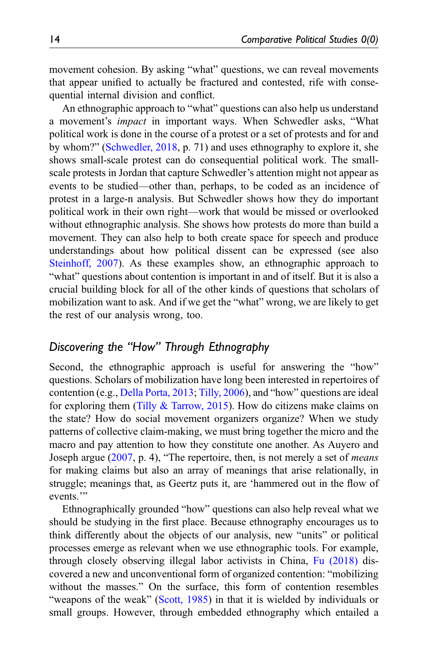movement cohesion. By asking "what" questions, we can reveal movements that appear unified to actually be fractured and contested, rife with consequential internal division and conflict.

An ethnographic approach to "what" questions can also help us understand a movement's impact in important ways. When Schwedler asks, "What political work is done in the course of a protest or a set of protests and for and by whom?" ([Schwedler, 2018](#page-24-9), p. 71) and uses ethnography to explore it, she shows small-scale protest can do consequential political work. The smallscale protests in Jordan that capture Schwedler's attention might not appear as events to be studied—other than, perhaps, to be coded as an incidence of protest in a large-n analysis. But Schwedler shows how they do important political work in their own right—work that would be missed or overlooked without ethnographic analysis. She shows how protests do more than build a movement. They can also help to both create space for speech and produce understandings about how political dissent can be expressed (see also [Steinhoff, 2007](#page-25-11)). As these examples show, an ethnographic approach to "what" questions about contention is important in and of itself. But it is also a crucial building block for all of the other kinds of questions that scholars of mobilization want to ask. And if we get the "what" wrong, we are likely to get the rest of our analysis wrong, too.

## Discovering the "How" Through Ethnography

Second, the ethnographic approach is useful for answering the "how" questions. Scholars of mobilization have long been interested in repertoires of contention (e.g., [Della Porta, 2013](#page-22-14); [Tilly, 2006\)](#page-25-10), and "how" questions are ideal for exploring them (Tilly  $& \text{Tarrow}, 2015$ ). How do citizens make claims on the state? How do social movement organizers organize? When we study patterns of collective claim-making, we must bring together the micro and the macro and pay attention to how they constitute one another. As Auyero and Joseph argue ([2007,](#page-21-4) p. 4), "The repertoire, then, is not merely a set of means for making claims but also an array of meanings that arise relationally, in struggle; meanings that, as Geertz puts it, are 'hammered out in the flow of events."

Ethnographically grounded "how" questions can also help reveal what we should be studying in the first place. Because ethnography encourages us to think differently about the objects of our analysis, new "units" or political processes emerge as relevant when we use ethnographic tools. For example, through closely observing illegal labor activists in China, [Fu \(2018\)](#page-22-1) discovered a new and unconventional form of organized contention: "mobilizing without the masses." On the surface, this form of contention resembles "weapons of the weak" ([Scott, 1985\)](#page-24-8) in that it is wielded by individuals or small groups. However, through embedded ethnography which entailed a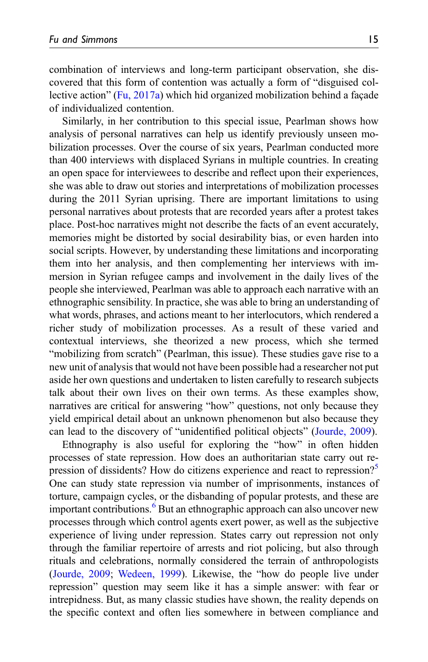combination of interviews and long-term participant observation, she discovered that this form of contention was actually a form of "disguised collective action" [\(Fu, 2017a\)](#page-22-15) which hid organized mobilization behind a façade of individualized contention.

Similarly, in her contribution to this special issue, Pearlman shows how analysis of personal narratives can help us identify previously unseen mobilization processes. Over the course of six years, Pearlman conducted more than 400 interviews with displaced Syrians in multiple countries. In creating an open space for interviewees to describe and reflect upon their experiences, she was able to draw out stories and interpretations of mobilization processes during the 2011 Syrian uprising. There are important limitations to using personal narratives about protests that are recorded years after a protest takes place. Post-hoc narratives might not describe the facts of an event accurately, memories might be distorted by social desirability bias, or even harden into social scripts. However, by understanding these limitations and incorporating them into her analysis, and then complementing her interviews with immersion in Syrian refugee camps and involvement in the daily lives of the people she interviewed, Pearlman was able to approach each narrative with an ethnographic sensibility. In practice, she was able to bring an understanding of what words, phrases, and actions meant to her interlocutors, which rendered a richer study of mobilization processes. As a result of these varied and contextual interviews, she theorized a new process, which she termed "mobilizing from scratch" (Pearlman, this issue). These studies gave rise to a new unit of analysis that would not have been possible had a researcher not put aside her own questions and undertaken to listen carefully to research subjects talk about their own lives on their own terms. As these examples show, narratives are critical for answering "how" questions, not only because they yield empirical detail about an unknown phenomenon but also because they can lead to the discovery of "unidentified political objects" ([Jourde, 2009\)](#page-23-8).

Ethnography is also useful for exploring the "how" in often hidden processes of state repression. How does an authoritarian state carry out repression of dissidents? How do citizens experience and react to repression? One can study state repression via number of imprisonments, instances of torture, campaign cycles, or the disbanding of popular protests, and these are important contributions.<sup>[6](#page-21-12)</sup> But an ethnographic approach can also uncover new processes through which control agents exert power, as well as the subjective experience of living under repression. States carry out repression not only through the familiar repertoire of arrests and riot policing, but also through rituals and celebrations, normally considered the terrain of anthropologists ([Jourde, 2009](#page-23-8); [Wedeen, 1999\)](#page-25-13). Likewise, the "how do people live under repression" question may seem like it has a simple answer: with fear or intrepidness. But, as many classic studies have shown, the reality depends on the specific context and often lies somewhere in between compliance and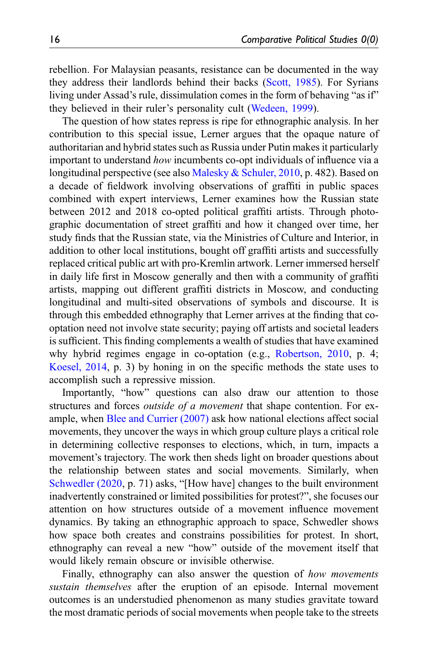rebellion. For Malaysian peasants, resistance can be documented in the way they address their landlords behind their backs [\(Scott, 1985](#page-24-8)). For Syrians living under Assad's rule, dissimulation comes in the form of behaving "as if" they believed in their ruler's personality cult [\(Wedeen, 1999\)](#page-25-13).

The question of how states repress is ripe for ethnographic analysis. In her contribution to this special issue, Lerner argues that the opaque nature of authoritarian and hybrid states such as Russia under Putin makes it particularly important to understand how incumbents co-opt individuals of influence via a longitudinal perspective (see also [Malesky & Schuler, 2010,](#page-23-11) p. 482). Based on a decade of fieldwork involving observations of graffiti in public spaces combined with expert interviews, Lerner examines how the Russian state between 2012 and 2018 co-opted political graffiti artists. Through photographic documentation of street graffiti and how it changed over time, her study finds that the Russian state, via the Ministries of Culture and Interior, in addition to other local institutions, bought off graffiti artists and successfully replaced critical public art with pro-Kremlin artwork. Lerner immersed herself in daily life first in Moscow generally and then with a community of graffiti artists, mapping out different graffiti districts in Moscow, and conducting longitudinal and multi-sited observations of symbols and discourse. It is through this embedded ethnography that Lerner arrives at the finding that cooptation need not involve state security; paying off artists and societal leaders is sufficient. This finding complements a wealth of studies that have examined why hybrid regimes engage in co-optation (e.g., [Robertson, 2010,](#page-24-12) p. 4; [Koesel, 2014](#page-23-12), p. 3) by honing in on the specific methods the state uses to accomplish such a repressive mission.

Importantly, "how" questions can also draw our attention to those structures and forces *outside of a movement* that shape contention. For example, when [Blee and Currier \(2007\)](#page-21-13) ask how national elections affect social movements, they uncover the ways in which group culture plays a critical role in determining collective responses to elections, which, in turn, impacts a movement's trajectory. The work then sheds light on broader questions about the relationship between states and social movements. Similarly, when [Schwedler \(2020](#page-24-14), p. 71) asks, "[How have] changes to the built environment inadvertently constrained or limited possibilities for protest?", she focuses our attention on how structures outside of a movement influence movement dynamics. By taking an ethnographic approach to space, Schwedler shows how space both creates and constrains possibilities for protest. In short, ethnography can reveal a new "how" outside of the movement itself that would likely remain obscure or invisible otherwise.

Finally, ethnography can also answer the question of *how movements* sustain themselves after the eruption of an episode. Internal movement outcomes is an understudied phenomenon as many studies gravitate toward the most dramatic periods of social movements when people take to the streets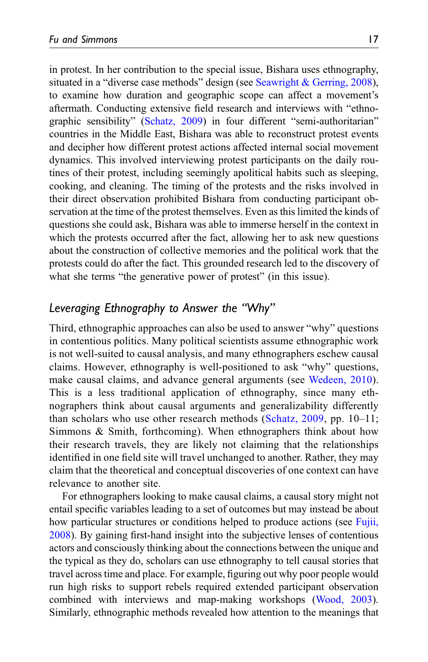in protest. In her contribution to the special issue, Bishara uses ethnography, situated in a "diverse case methods" design (see [Seawright & Gerring, 2008\)](#page-24-15), to examine how duration and geographic scope can affect a movement's aftermath. Conducting extensive field research and interviews with "ethnographic sensibility" ([Schatz, 2009\)](#page-24-3) in four different "semi-authoritarian" countries in the Middle East, Bishara was able to reconstruct protest events and decipher how different protest actions affected internal social movement dynamics. This involved interviewing protest participants on the daily routines of their protest, including seemingly apolitical habits such as sleeping, cooking, and cleaning. The timing of the protests and the risks involved in their direct observation prohibited Bishara from conducting participant observation at the time of the protest themselves. Even as this limited the kinds of questions she could ask, Bishara was able to immerse herself in the context in which the protests occurred after the fact, allowing her to ask new questions about the construction of collective memories and the political work that the protests could do after the fact. This grounded research led to the discovery of what she terms "the generative power of protest" (in this issue).

## Leveraging Ethnography to Answer the "Why"

Third, ethnographic approaches can also be used to answer "why" questions in contentious politics. Many political scientists assume ethnographic work is not well-suited to causal analysis, and many ethnographers eschew causal claims. However, ethnography is well-positioned to ask "why" questions, make causal claims, and advance general arguments (see [Wedeen, 2010\)](#page-25-5). This is a less traditional application of ethnography, since many ethnographers think about causal arguments and generalizability differently than scholars who use other research methods ([Schatz, 2009,](#page-24-3) pp. 10–11; Simmons & Smith, forthcoming). When ethnographers think about how their research travels, they are likely not claiming that the relationships identified in one field site will travel unchanged to another. Rather, they may claim that the theoretical and conceptual discoveries of one context can have relevance to another site.

For ethnographers looking to make causal claims, a causal story might not entail specific variables leading to a set of outcomes but may instead be about how particular structures or conditions helped to produce actions (see [Fujii,](#page-22-16) [2008\)](#page-22-16). By gaining first-hand insight into the subjective lenses of contentious actors and consciously thinking about the connections between the unique and the typical as they do, scholars can use ethnography to tell causal stories that travel across time and place. For example, figuring out why poor people would run high risks to support rebels required extended participant observation combined with interviews and map-making workshops [\(Wood, 2003\)](#page-25-8). Similarly, ethnographic methods revealed how attention to the meanings that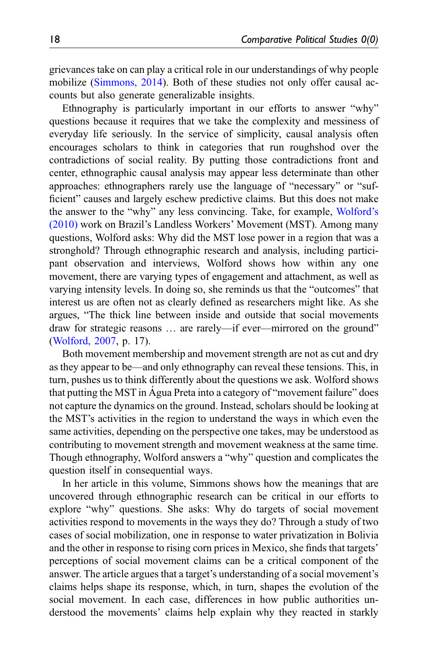grievances take on can play a critical role in our understandings of why people mobilize ([Simmons, 2014\)](#page-24-16). Both of these studies not only offer causal accounts but also generate generalizable insights.

Ethnography is particularly important in our efforts to answer "why" questions because it requires that we take the complexity and messiness of everyday life seriously. In the service of simplicity, causal analysis often encourages scholars to think in categories that run roughshod over the contradictions of social reality. By putting those contradictions front and center, ethnographic causal analysis may appear less determinate than other approaches: ethnographers rarely use the language of "necessary" or "sufficient" causes and largely eschew predictive claims. But this does not make the answer to the "why" any less convincing. Take, for example, [Wolford](#page-25-14)'s [\(2010\)](#page-25-14) work on Brazil's Landless Workers' Movement (MST). Among many questions, Wolford asks: Why did the MST lose power in a region that was a stronghold? Through ethnographic research and analysis, including participant observation and interviews, Wolford shows how within any one movement, there are varying types of engagement and attachment, as well as varying intensity levels. In doing so, she reminds us that the "outcomes" that interest us are often not as clearly defined as researchers might like. As she argues, "The thick line between inside and outside that social movements draw for strategic reasons … are rarely—if ever—mirrored on the ground" ([Wolford, 2007](#page-25-15), p. 17).

Both movement membership and movement strength are not as cut and dry as they appear to be—and only ethnography can reveal these tensions. This, in turn, pushes us to think differently about the questions we ask. Wolford shows that putting the MST in Agua Preta into a category of "movement failure" does not capture the dynamics on the ground. Instead, scholars should be looking at the MST's activities in the region to understand the ways in which even the same activities, depending on the perspective one takes, may be understood as contributing to movement strength and movement weakness at the same time. Though ethnography, Wolford answers a "why" question and complicates the question itself in consequential ways.

In her article in this volume, Simmons shows how the meanings that are uncovered through ethnographic research can be critical in our efforts to explore "why" questions. She asks: Why do targets of social movement activities respond to movements in the ways they do? Through a study of two cases of social mobilization, one in response to water privatization in Bolivia and the other in response to rising corn prices in Mexico, she finds that targets' perceptions of social movement claims can be a critical component of the answer. The article argues that a target's understanding of a social movement's claims helps shape its response, which, in turn, shapes the evolution of the social movement. In each case, differences in how public authorities understood the movements' claims help explain why they reacted in starkly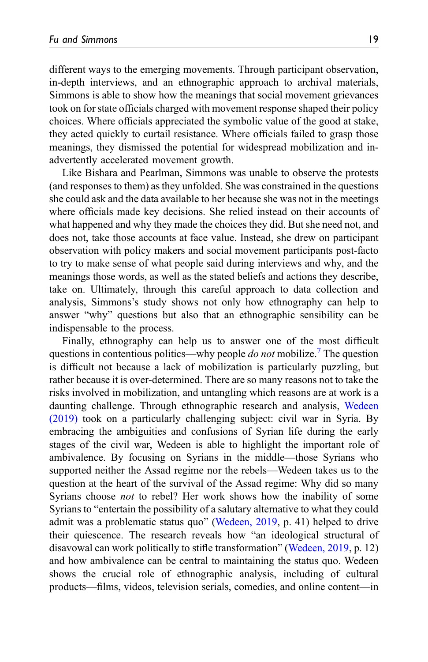different ways to the emerging movements. Through participant observation, in-depth interviews, and an ethnographic approach to archival materials, Simmons is able to show how the meanings that social movement grievances took on for state officials charged with movement response shaped their policy choices. Where officials appreciated the symbolic value of the good at stake, they acted quickly to curtail resistance. Where officials failed to grasp those meanings, they dismissed the potential for widespread mobilization and inadvertently accelerated movement growth.

Like Bishara and Pearlman, Simmons was unable to observe the protests (and responses to them) as they unfolded. She was constrained in the questions she could ask and the data available to her because she was not in the meetings where officials made key decisions. She relied instead on their accounts of what happened and why they made the choices they did. But she need not, and does not, take those accounts at face value. Instead, she drew on participant observation with policy makers and social movement participants post-facto to try to make sense of what people said during interviews and why, and the meanings those words, as well as the stated beliefs and actions they describe, take on. Ultimately, through this careful approach to data collection and analysis, Simmons's study shows not only how ethnography can help to answer "why" questions but also that an ethnographic sensibility can be indispensable to the process.

Finally, ethnography can help us to answer one of the most difficult questions in contentious politics—why people *do not* mobilize.<sup>[7](#page-21-14)</sup> The question is difficult not because a lack of mobilization is particularly puzzling, but rather because it is over-determined. There are so many reasons not to take the risks involved in mobilization, and untangling which reasons are at work is a daunting challenge. Through ethnographic research and analysis, [Wedeen](#page-25-9) [\(2019\)](#page-25-9) took on a particularly challenging subject: civil war in Syria. By embracing the ambiguities and confusions of Syrian life during the early stages of the civil war, Wedeen is able to highlight the important role of ambivalence. By focusing on Syrians in the middle—those Syrians who supported neither the Assad regime nor the rebels—Wedeen takes us to the question at the heart of the survival of the Assad regime: Why did so many Syrians choose *not* to rebel? Her work shows how the inability of some Syrians to "entertain the possibility of a salutary alternative to what they could admit was a problematic status quo" [\(Wedeen, 2019,](#page-25-9) p. 41) helped to drive their quiescence. The research reveals how "an ideological structural of disavowal can work politically to stifle transformation" ([Wedeen, 2019](#page-25-9), p. 12) and how ambivalence can be central to maintaining the status quo. Wedeen shows the crucial role of ethnographic analysis, including of cultural products—films, videos, television serials, comedies, and online content—in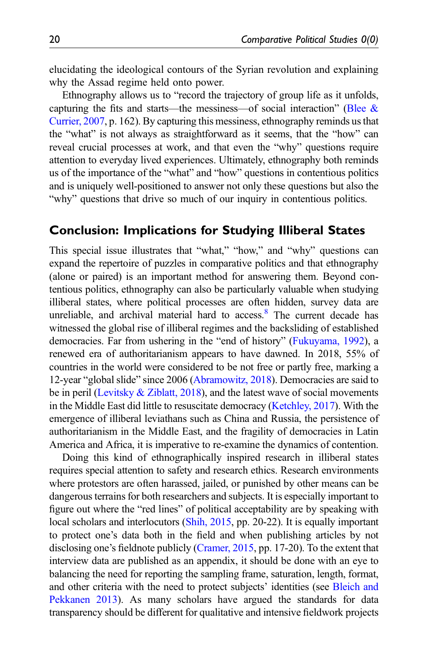elucidating the ideological contours of the Syrian revolution and explaining why the Assad regime held onto power.

Ethnography allows us to "record the trajectory of group life as it unfolds, capturing the fits and starts—the messiness—of social interaction" (Blee  $\&$ [Currier, 2007,](#page-21-13) p. 162). By capturing this messiness, ethnography reminds us that the "what" is not always as straightforward as it seems, that the "how" can reveal crucial processes at work, and that even the "why" questions require attention to everyday lived experiences. Ultimately, ethnography both reminds us of the importance of the "what" and "how" questions in contentious politics and is uniquely well-positioned to answer not only these questions but also the "why" questions that drive so much of our inquiry in contentious politics.

## Conclusion: Implications for Studying Illiberal States

This special issue illustrates that "what," "how," and "why" questions can expand the repertoire of puzzles in comparative politics and that ethnography (alone or paired) is an important method for answering them. Beyond contentious politics, ethnography can also be particularly valuable when studying illiberal states, where political processes are often hidden, survey data are unreliable, and archival material hard to  $access^8$  $access^8$ . The current decade has witnessed the global rise of illiberal regimes and the backsliding of established democracies. Far from ushering in the "end of history" ([Fukuyama, 1992](#page-22-17)), a renewed era of authoritarianism appears to have dawned. In 2018, 55% of countries in the world were considered to be not free or partly free, marking a 12-year "global slide" since 2006 ([Abramowitz, 2018](#page-21-16)). Democracies are said to be in peril [\(Levitsky & Ziblatt, 2018](#page-23-13)), and the latest wave of social movements in the Middle East did little to resuscitate democracy [\(Ketchley, 2017\)](#page-23-14). With the emergence of illiberal leviathans such as China and Russia, the persistence of authoritarianism in the Middle East, and the fragility of democracies in Latin America and Africa, it is imperative to re-examine the dynamics of contention.

Doing this kind of ethnographically inspired research in illiberal states requires special attention to safety and research ethics. Research environments where protestors are often harassed, jailed, or punished by other means can be dangerous terrains for both researchers and subjects. It is especially important to figure out where the "red lines" of political acceptability are by speaking with local scholars and interlocutors ([Shih, 2015](#page-24-17), pp. 20-22). It is equally important to protect one's data both in the field and when publishing articles by not disclosing one's fieldnote publicly [\(Cramer, 2015,](#page-22-18) pp. 17-20). To the extent that interview data are published as an appendix, it should be done with an eye to balancing the need for reporting the sampling frame, saturation, length, format, and other criteria with the need to protect subjects' identities (see [Bleich and](#page-22-19) [Pekkanen 2013\)](#page-22-19). As many scholars have argued the standards for data transparency should be different for qualitative and intensive fieldwork projects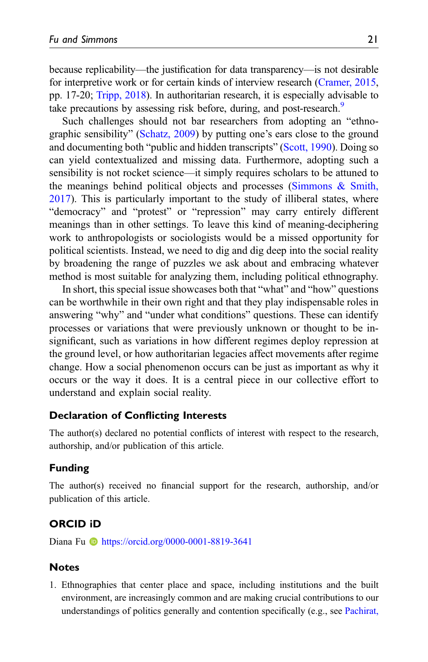because replicability—the justification for data transparency—is not desirable for interpretive work or for certain kinds of interview research ([Cramer, 2015,](#page-22-18) pp. 17-20; [Tripp, 2018](#page-25-16)). In authoritarian research, it is especially advisable to take precautions by assessing risk before, during, and post-research.<sup>9</sup>

Such challenges should not bar researchers from adopting an "ethnographic sensibility" [\(Schatz, 2009\)](#page-24-3) by putting one's ears close to the ground and documenting both "public and hidden transcripts" [\(Scott, 1990](#page-24-13)). Doing so can yield contextualized and missing data. Furthermore, adopting such a sensibility is not rocket science—it simply requires scholars to be attuned to the meanings behind political objects and processes [\(Simmons & Smith,](#page-24-18) [2017\)](#page-24-18). This is particularly important to the study of illiberal states, where "democracy" and "protest" or "repression" may carry entirely different meanings than in other settings. To leave this kind of meaning-deciphering work to anthropologists or sociologists would be a missed opportunity for political scientists. Instead, we need to dig and dig deep into the social reality by broadening the range of puzzles we ask about and embracing whatever method is most suitable for analyzing them, including political ethnography.

In short, this special issue showcases both that "what" and "how" questions can be worthwhile in their own right and that they play indispensable roles in answering "why" and "under what conditions" questions. These can identify processes or variations that were previously unknown or thought to be insignificant, such as variations in how different regimes deploy repression at the ground level, or how authoritarian legacies affect movements after regime change. How a social phenomenon occurs can be just as important as why it occurs or the way it does. It is a central piece in our collective effort to understand and explain social reality.

#### Declaration of Conflicting Interests

The author(s) declared no potential conflicts of interest with respect to the research, authorship, and/or publication of this article.

#### Funding

The author(s) received no financial support for the research, authorship, and/or publication of this article.

#### ORCID iD

Diana Fu **b** <https://orcid.org/0000-0001-8819-3641>

#### Notes

<span id="page-20-0"></span>1. Ethnographies that center place and space, including institutions and the built environment, are increasingly common and are making crucial contributions to our understandings of politics generally and contention specifically (e.g., see [Pachirat,](#page-23-15)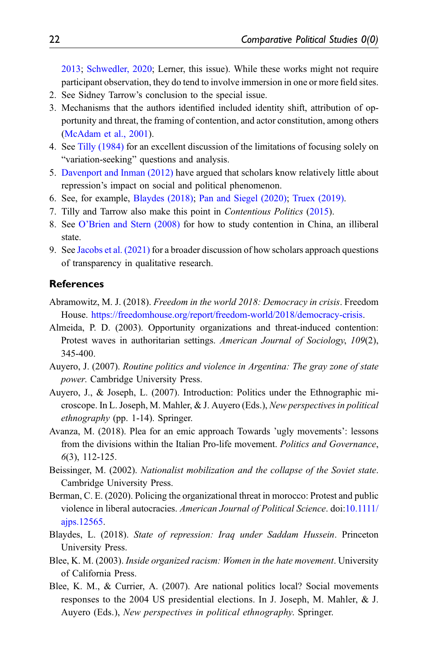[2013;](#page-23-15) [Schwedler, 2020;](#page-24-14) Lerner, this issue). While these works might not require participant observation, they do tend to involve immersion in one or more field sites.

- <span id="page-21-5"></span><span id="page-21-2"></span>2. See Sidney Tarrow's conclusion to the special issue.
- 3. Mechanisms that the authors identified included identity shift, attribution of opportunity and threat, the framing of contention, and actor constitution, among others ([McAdam et al., 2001](#page-23-6)).
- <span id="page-21-6"></span>4. See [Tilly \(1984\)](#page-25-17) for an excellent discussion of the limitations of focusing solely on "variation-seeking" questions and analysis.
- <span id="page-21-11"></span>5. [Davenport and Inman \(2012\)](#page-22-20) have argued that scholars know relatively little about repression's impact on social and political phenomenon.
- <span id="page-21-12"></span>6. See, for example, [Blaydes \(2018\);](#page-21-1) [Pan and Siegel \(2020\)](#page-24-19); [Truex \(2019\)](#page-25-18).
- <span id="page-21-15"></span><span id="page-21-14"></span>7. Tilly and Tarrow also make this point in Contentious Politics ([2015](#page-25-12)).
- 8. See O'[Brien and Stern \(2008\)](#page-23-16) for how to study contention in China, an illiberal state.
- <span id="page-21-17"></span>9. See [Jacobs et al. \(2021\)](#page-23-17) for a broader discussion of how scholars approach questions of transparency in qualitative research.

#### References

- <span id="page-21-16"></span>Abramowitz, M. J. (2018). Freedom in the world 2018: Democracy in crisis. Freedom House. [https://freedomhouse.org/report/freedom-world/2018/democracy-crisis.](https://freedomhouse.org/report/freedom-world/2018/democracy-crisis)
- <span id="page-21-10"></span>Almeida, P. D. (2003). Opportunity organizations and threat-induced contention: Protest waves in authoritarian settings. American Journal of Sociology, 109(2), 345-400.
- <span id="page-21-3"></span>Auyero, J. (2007). Routine politics and violence in Argentina: The gray zone of state power. Cambridge University Press.
- <span id="page-21-4"></span>Auyero, J., & Joseph, L. (2007). Introduction: Politics under the Ethnographic microscope. In L. Joseph, M. Mahler, & J. Auyero (Eds.), New perspectives in political ethnography (pp. 1-14). Springer.
- <span id="page-21-7"></span>Avanza, M. (2018). Plea for an emic approach Towards 'ugly movements': lessons from the divisions within the Italian Pro-life movement. Politics and Governance, 6(3), 112-125.
- <span id="page-21-9"></span>Beissinger, M. (2002). Nationalist mobilization and the collapse of the Soviet state. Cambridge University Press.
- <span id="page-21-0"></span>Berman, C. E. (2020). Policing the organizational threat in morocco: Protest and public violence in liberal autocracies. American Journal of Political Science. doi:[10.1111/](https://doi.org/10.1111/ajps.12565) [ajps.12565](https://doi.org/10.1111/ajps.12565).
- <span id="page-21-1"></span>Blaydes, L. (2018). State of repression: Iraq under Saddam Hussein. Princeton University Press.
- <span id="page-21-8"></span>Blee, K. M. (2003). Inside organized racism: Women in the hate movement. University of California Press.
- <span id="page-21-13"></span>Blee, K. M., & Currier, A. (2007). Are national politics local? Social movements responses to the 2004 US presidential elections. In J. Joseph, M. Mahler, & J. Auyero (Eds.), New perspectives in political ethnography. Springer.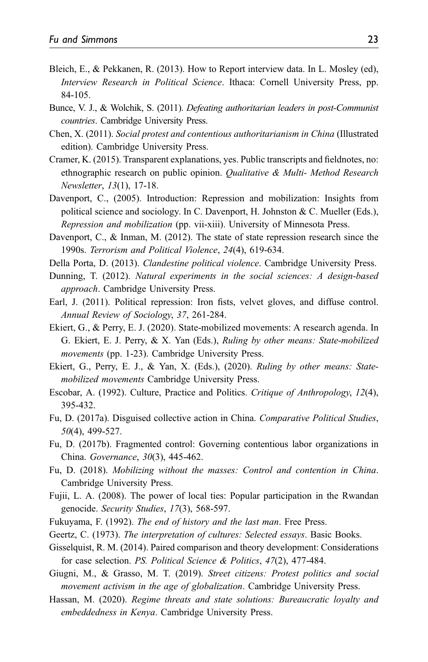- <span id="page-22-19"></span>Bleich, E., & Pekkanen, R. (2013). How to Report interview data. In L. Mosley (ed), Interview Research in Political Science. Ithaca: Cornell University Press, pp. 84-105.
- <span id="page-22-13"></span>Bunce, V. J., & Wolchik, S. (2011). Defeating authoritarian leaders in post-Communist countries. Cambridge University Press.
- <span id="page-22-10"></span>Chen, X. (2011). Social protest and contentious authoritarianism in China (Illustrated edition). Cambridge University Press.
- <span id="page-22-18"></span>Cramer, K. (2015). Transparent explanations, yes. Public transcripts and fieldnotes, no: ethnographic research on public opinion. Qualitative & Multi- Method Research Newsletter, 13(1), 17-18.
- <span id="page-22-11"></span>Davenport, C., (2005). Introduction: Repression and mobilization: Insights from political science and sociology. In C. Davenport, H. Johnston & C. Mueller (Eds.), Repression and mobilization (pp. vii-xiii). University of Minnesota Press.
- <span id="page-22-20"></span>Davenport, C., & Inman, M. (2012). The state of state repression research since the 1990s. Terrorism and Political Violence, 24(4), 619-634.
- <span id="page-22-14"></span>Della Porta, D. (2013). Clandestine political violence. Cambridge University Press.
- <span id="page-22-5"></span>Dunning, T. (2012). Natural experiments in the social sciences: A design-based approach. Cambridge University Press.
- <span id="page-22-12"></span>Earl, J. (2011). Political repression: Iron fists, velvet gloves, and diffuse control. Annual Review of Sociology, 37, 261-284.
- <span id="page-22-0"></span>Ekiert, G., & Perry, E. J. (2020). State-mobilized movements: A research agenda. In G. Ekiert, E. J. Perry, & X. Yan (Eds.), Ruling by other means: State-mobilized movements (pp. 1-23). Cambridge University Press.
- <span id="page-22-9"></span>Ekiert, G., Perry, E. J., & Yan, X. (Eds.), (2020). Ruling by other means: Statemobilized movements Cambridge University Press.
- <span id="page-22-4"></span>Escobar, A. (1992). Culture, Practice and Politics. Critique of Anthropology, 12(4), 395-432.
- <span id="page-22-15"></span>Fu, D. (2017a). Disguised collective action in China. Comparative Political Studies, 50(4), 499-527.
- <span id="page-22-7"></span>Fu, D. (2017b). Fragmented control: Governing contentious labor organizations in China. Governance, 30(3), 445-462.
- <span id="page-22-1"></span>Fu, D. (2018). Mobilizing without the masses: Control and contention in China. Cambridge University Press.
- <span id="page-22-16"></span>Fujii, L. A. (2008). The power of local ties: Popular participation in the Rwandan genocide. Security Studies, 17(3), 568-597.
- <span id="page-22-17"></span><span id="page-22-8"></span>Fukuyama, F. (1992). The end of history and the last man. Free Press.
- <span id="page-22-6"></span>Geertz, C. (1973). The interpretation of cultures: Selected essays. Basic Books.
- Gisselquist, R. M. (2014). Paired comparison and theory development: Considerations for case selection. PS. Political Science & Politics, 47(2), 477-484.
- <span id="page-22-2"></span>Giugni, M., & Grasso, M. T. (2019). Street citizens: Protest politics and social movement activism in the age of globalization. Cambridge University Press.
- <span id="page-22-3"></span>Hassan, M. (2020). Regime threats and state solutions: Bureaucratic loyalty and embeddedness in Kenya. Cambridge University Press.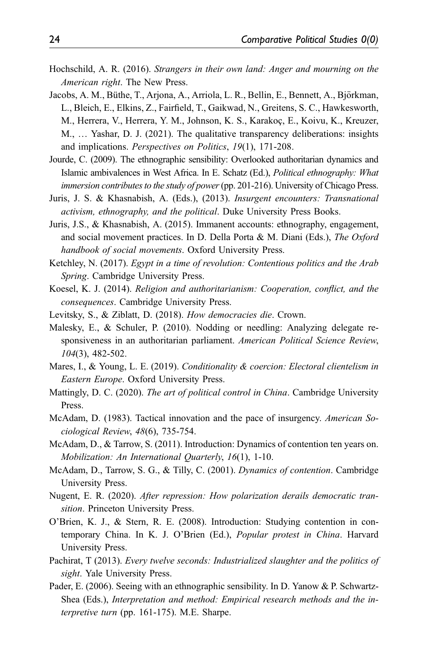- <span id="page-23-10"></span>Hochschild, A. R. (2016). Strangers in their own land: Anger and mourning on the American right. The New Press.
- <span id="page-23-17"></span>Jacobs, A. M., Büthe, T., Arjona, A., Arriola, L. R., Bellin, E., Bennett, A., Björkman, L., Bleich, E., Elkins, Z., Fairfield, T., Gaikwad, N., Greitens, S. C., Hawkesworth, M., Herrera, V., Herrera, Y. M., Johnson, K. S., Karakoç, E., Koivu, K., Kreuzer, M., … Yashar, D. J. (2021). The qualitative transparency deliberations: insights and implications. Perspectives on Politics, 19(1), 171-208.
- <span id="page-23-8"></span>Jourde, C. (2009). The ethnographic sensibility: Overlooked authoritarian dynamics and Islamic ambivalences in West Africa. In E. Schatz (Ed.), Political ethnography: What immersion contributes to the study of power (pp. 201-216). University of Chicago Press.
- <span id="page-23-4"></span>Juris, J. S. & Khasnabish, A. (Eds.), (2013). Insurgent encounters: Transnational activism, ethnography, and the political. Duke University Press Books.
- <span id="page-23-5"></span>Juris, J.S., & Khasnabish, A. (2015). Immanent accounts: ethnography, engagement, and social movement practices. In D. Della Porta & M. Diani (Eds.), The Oxford handbook of social movements. Oxford University Press.
- <span id="page-23-14"></span>Ketchley, N. (2017). Egypt in a time of revolution: Contentious politics and the Arab Spring. Cambridge University Press.
- <span id="page-23-12"></span>Koesel, K. J. (2014). Religion and authoritarianism: Cooperation, conflict, and the consequences. Cambridge University Press.
- <span id="page-23-13"></span><span id="page-23-11"></span>Levitsky, S., & Ziblatt, D. (2018). How democracies die. Crown.
- Malesky, E., & Schuler, P. (2010). Nodding or needling: Analyzing delegate responsiveness in an authoritarian parliament. American Political Science Review, 104(3), 482-502.
- <span id="page-23-1"></span>Mares, I., & Young, L. E. (2019). Conditionality & coercion: Electoral clientelism in Eastern Europe. Oxford University Press.
- <span id="page-23-0"></span>Mattingly, D. C. (2020). The art of political control in China. Cambridge University Press.
- <span id="page-23-9"></span>McAdam, D. (1983). Tactical innovation and the pace of insurgency. American Sociological Review, 48(6), 735-754.
- <span id="page-23-7"></span>McAdam, D., & Tarrow, S. (2011). Introduction: Dynamics of contention ten years on. Mobilization: An International Quarterly, 16(1), 1-10.
- <span id="page-23-6"></span>McAdam, D., Tarrow, S. G., & Tilly, C. (2001). Dynamics of contention. Cambridge University Press.
- <span id="page-23-2"></span>Nugent, E. R. (2020). After repression: How polarization derails democratic transition. Princeton University Press.
- <span id="page-23-16"></span>O'Brien, K. J., & Stern, R. E. (2008). Introduction: Studying contention in contemporary China. In K. J. O'Brien (Ed.), Popular protest in China. Harvard University Press.
- <span id="page-23-15"></span>Pachirat, T (2013). Every twelve seconds: Industrialized slaughter and the politics of sight. Yale University Press.
- <span id="page-23-3"></span>Pader, E. (2006). Seeing with an ethnographic sensibility. In D. Yanow & P. Schwartz-Shea (Eds.), Interpretation and method: Empirical research methods and the interpretive turn (pp. 161-175). M.E. Sharpe.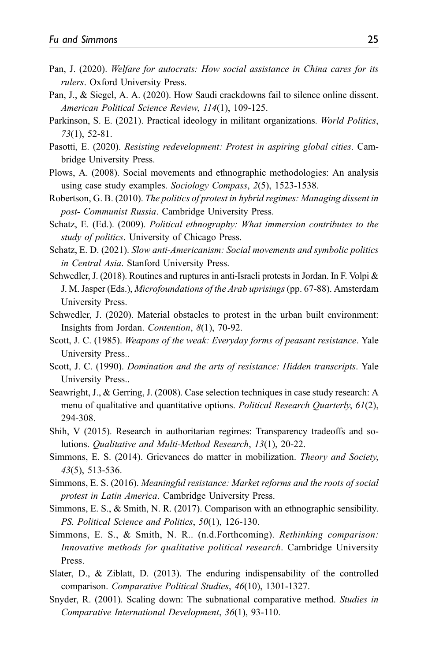- <span id="page-24-0"></span>Pan, J. (2020). Welfare for autocrats: How social assistance in China cares for its rulers. Oxford University Press.
- <span id="page-24-19"></span>Pan, J., & Siegel, A. A. (2020). How Saudi crackdowns fail to silence online dissent. American Political Science Review, 114(1), 109-125.
- <span id="page-24-10"></span>Parkinson, S. E. (2021). Practical ideology in militant organizations. World Politics, 73(1), 52-81.
- <span id="page-24-11"></span>Pasotti, E. (2020). Resisting redevelopment: Protest in aspiring global cities. Cambridge University Press.
- <span id="page-24-4"></span>Plows, A. (2008). Social movements and ethnographic methodologies: An analysis using case study examples. Sociology Compass, 2(5), 1523-1538.
- <span id="page-24-12"></span>Robertson, G. B. (2010). The politics of protest in hybrid regimes: Managing dissent in post- Communist Russia. Cambridge University Press.
- <span id="page-24-3"></span>Schatz, E. (Ed.). (2009). Political ethnography: What immersion contributes to the study of politics. University of Chicago Press.
- <span id="page-24-1"></span>Schatz, E. D. (2021). Slow anti-Americanism: Social movements and symbolic politics in Central Asia. Stanford University Press.
- <span id="page-24-9"></span>Schwedler, J. (2018). Routines and ruptures in anti-Israeli protests in Jordan. In F. Volpi & J. M. Jasper (Eds.), Microfoundations of the Arab uprisings (pp. 67-88). Amsterdam University Press.
- <span id="page-24-14"></span>Schwedler, J. (2020). Material obstacles to protest in the urban built environment: Insights from Jordan. Contention, 8(1), 70-92.
- <span id="page-24-8"></span>Scott, J. C. (1985). Weapons of the weak: Everyday forms of peasant resistance. Yale University Press..
- <span id="page-24-13"></span>Scott, J. C. (1990). Domination and the arts of resistance: Hidden transcripts. Yale University Press..
- <span id="page-24-15"></span>Seawright, J., & Gerring, J. (2008). Case selection techniques in case study research: A menu of qualitative and quantitative options. *Political Research Quarterly, 61(2)*, 294-308.
- <span id="page-24-17"></span>Shih, V (2015). Research in authoritarian regimes: Transparency tradeoffs and solutions. Qualitative and Multi-Method Research, 13(1), 20-22.
- <span id="page-24-16"></span>Simmons, E. S. (2014). Grievances do matter in mobilization. Theory and Society, 43(5), 513-536.
- <span id="page-24-2"></span>Simmons, E. S. (2016). Meaningful resistance: Market reforms and the roots of social protest in Latin America. Cambridge University Press.
- <span id="page-24-18"></span>Simmons, E. S., & Smith, N. R. (2017). Comparison with an ethnographic sensibility. PS. Political Science and Politics, 50(1), 126-130.
- <span id="page-24-7"></span>Simmons, E. S., & Smith, N. R.. (n.d.Forthcoming). Rethinking comparison: Innovative methods for qualitative political research. Cambridge University Press.
- <span id="page-24-5"></span>Slater, D., & Ziblatt, D. (2013). The enduring indispensability of the controlled comparison. Comparative Political Studies, 46(10), 1301-1327.
- <span id="page-24-6"></span>Snyder, R. (2001). Scaling down: The subnational comparative method. Studies in Comparative International Development, 36(1), 93-110.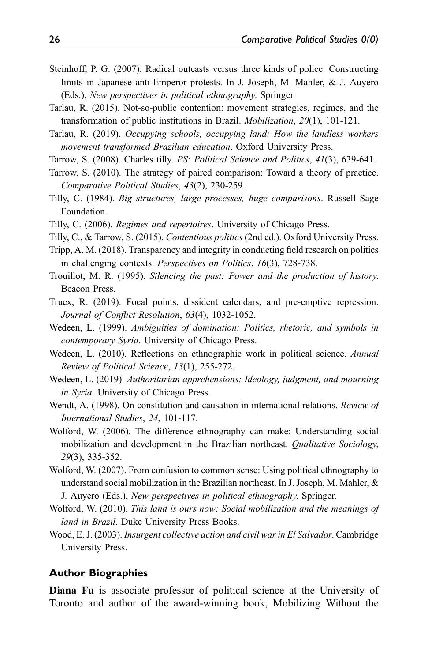- <span id="page-25-11"></span>Steinhoff, P. G. (2007). Radical outcasts versus three kinds of police: Constructing limits in Japanese anti-Emperor protests. In J. Joseph, M. Mahler, & J. Auyero (Eds.), New perspectives in political ethnography. Springer.
- <span id="page-25-1"></span>Tarlau, R. (2015). Not-so-public contention: movement strategies, regimes, and the transformation of public institutions in Brazil. Mobilization, 20(1), 101-121.
- <span id="page-25-0"></span>Tarlau, R. (2019). Occupying schools, occupying land: How the landless workers movement transformed Brazilian education. Oxford University Press.
- <span id="page-25-4"></span><span id="page-25-3"></span>Tarrow, S. (2008). Charles tilly. PS: Political Science and Politics, 41(3), 639-641.
- Tarrow, S. (2010). The strategy of paired comparison: Toward a theory of practice. Comparative Political Studies, 43(2), 230-259.
- <span id="page-25-17"></span>Tilly, C. (1984). Big structures, large processes, huge comparisons. Russell Sage Foundation.
- <span id="page-25-10"></span>Tilly, C. (2006). Regimes and repertoires. University of Chicago Press.
- <span id="page-25-12"></span>Tilly, C., & Tarrow, S. (2015). Contentious politics (2nd ed.). Oxford University Press.
- <span id="page-25-16"></span>Tripp, A. M. (2018). Transparency and integrity in conducting field research on politics in challenging contexts. Perspectives on Politics, 16(3), 728-738.
- <span id="page-25-7"></span>Trouillot, M. R. (1995). Silencing the past: Power and the production of history. Beacon Press.
- <span id="page-25-18"></span>Truex, R. (2019). Focal points, dissident calendars, and pre-emptive repression. Journal of Conflict Resolution, 63(4), 1032-1052.
- <span id="page-25-13"></span>Wedeen, L. (1999). Ambiguities of domination: Politics, rhetoric, and symbols in contemporary Syria. University of Chicago Press.
- <span id="page-25-5"></span>Wedeen, L. (2010). Reflections on ethnographic work in political science. Annual Review of Political Science, 13(1), 255-272.
- <span id="page-25-9"></span>Wedeen, L. (2019). Authoritarian apprehensions: Ideology, judgment, and mourning in Syria. University of Chicago Press.
- <span id="page-25-6"></span>Wendt, A. (1998). On constitution and causation in international relations. Review of International Studies, 24, 101-117.
- <span id="page-25-2"></span>Wolford, W. (2006). The difference ethnography can make: Understanding social mobilization and development in the Brazilian northeast. Qualitative Sociology, 29(3), 335-352.
- <span id="page-25-15"></span>Wolford, W. (2007). From confusion to common sense: Using political ethnography to understand social mobilization in the Brazilian northeast. In J. Joseph, M. Mahler, & J. Auyero (Eds.), New perspectives in political ethnography. Springer.
- <span id="page-25-14"></span>Wolford, W. (2010). This land is ours now: Social mobilization and the meanings of land in Brazil. Duke University Press Books.
- <span id="page-25-8"></span>Wood, E. J. (2003). Insurgent collective action and civil war in El Salvador. Cambridge University Press.

#### Author Biographies

Diana Fu is associate professor of political science at the University of Toronto and author of the award-winning book, Mobilizing Without the